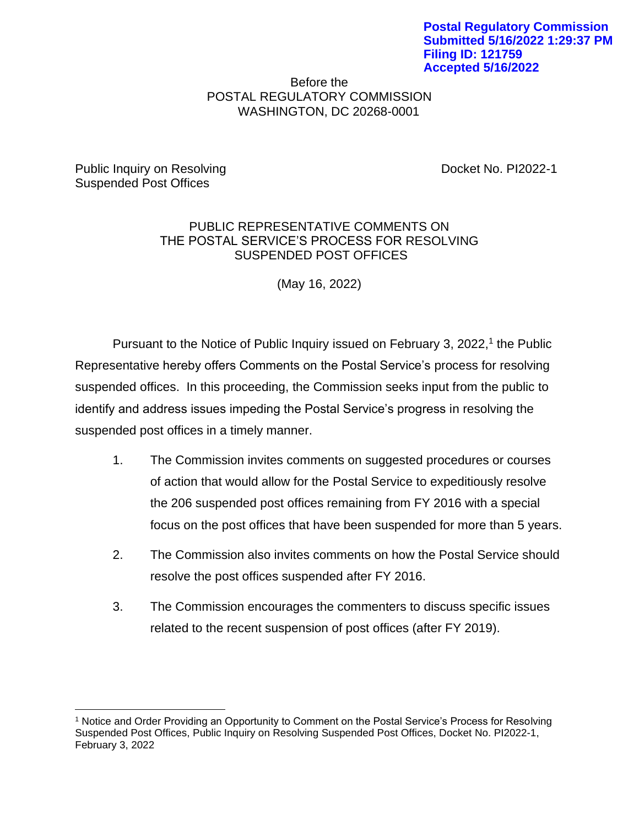## Before the POSTAL REGULATORY COMMISSION WASHINGTON, DC 20268-0001

Public Inquiry on Resolving The Control of the Docket No. PI2022-1 Suspended Post Offices

# PUBLIC REPRESENTATIVE COMMENTS ON THE POSTAL SERVICE'S PROCESS FOR RESOLVING SUSPENDED POST OFFICES

(May 16, 2022)

Pursuant to the Notice of Public Inquiry issued on February 3, 2022,<sup>1</sup> the Public Representative hereby offers Comments on the Postal Service's process for resolving suspended offices. In this proceeding, the Commission seeks input from the public to identify and address issues impeding the Postal Service's progress in resolving the suspended post offices in a timely manner.

- 1. The Commission invites comments on suggested procedures or courses of action that would allow for the Postal Service to expeditiously resolve the 206 suspended post offices remaining from FY 2016 with a special focus on the post offices that have been suspended for more than 5 years.
- 2. The Commission also invites comments on how the Postal Service should resolve the post offices suspended after FY 2016.
- 3. The Commission encourages the commenters to discuss specific issues related to the recent suspension of post offices (after FY 2019).

<sup>1</sup> Notice and Order Providing an Opportunity to Comment on the Postal Service's Process for Resolving Suspended Post Offices, Public Inquiry on Resolving Suspended Post Offices, Docket No. PI2022-1, February 3, 2022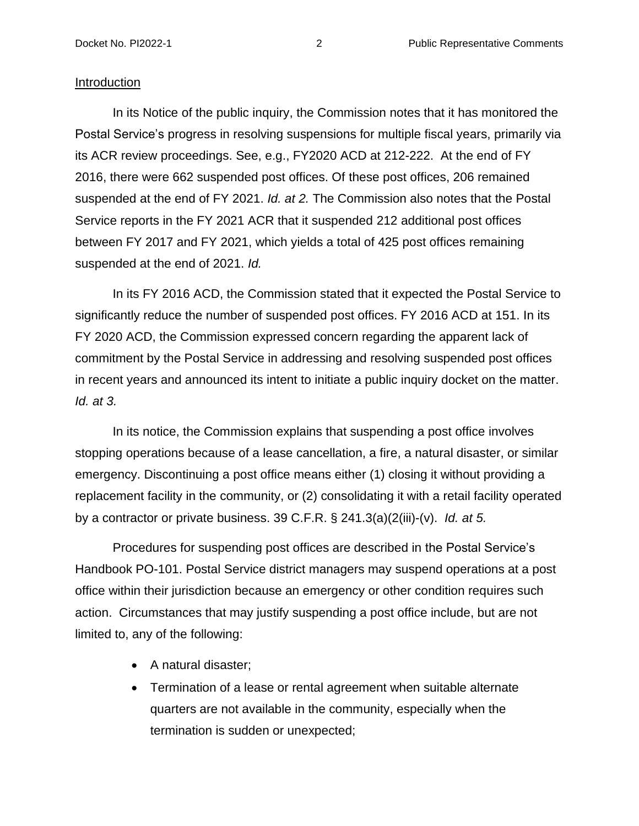#### Introduction

In its Notice of the public inquiry, the Commission notes that it has monitored the Postal Service's progress in resolving suspensions for multiple fiscal years, primarily via its ACR review proceedings. See, e.g., FY2020 ACD at 212-222. At the end of FY 2016, there were 662 suspended post offices. Of these post offices, 206 remained suspended at the end of FY 2021. *Id. at 2.* The Commission also notes that the Postal Service reports in the FY 2021 ACR that it suspended 212 additional post offices between FY 2017 and FY 2021, which yields a total of 425 post offices remaining suspended at the end of 2021. *Id.*

In its FY 2016 ACD, the Commission stated that it expected the Postal Service to significantly reduce the number of suspended post offices. FY 2016 ACD at 151. In its FY 2020 ACD, the Commission expressed concern regarding the apparent lack of commitment by the Postal Service in addressing and resolving suspended post offices in recent years and announced its intent to initiate a public inquiry docket on the matter. *Id. at 3.*

In its notice, the Commission explains that suspending a post office involves stopping operations because of a lease cancellation, a fire, a natural disaster, or similar emergency. Discontinuing a post office means either (1) closing it without providing a replacement facility in the community, or (2) consolidating it with a retail facility operated by a contractor or private business. 39 C.F.R. § 241.3(a)(2(iii)-(v). *Id. at 5.*

Procedures for suspending post offices are described in the Postal Service's Handbook PO-101. Postal Service district managers may suspend operations at a post office within their jurisdiction because an emergency or other condition requires such action. Circumstances that may justify suspending a post office include, but are not limited to, any of the following:

- A natural disaster;
- Termination of a lease or rental agreement when suitable alternate quarters are not available in the community, especially when the termination is sudden or unexpected;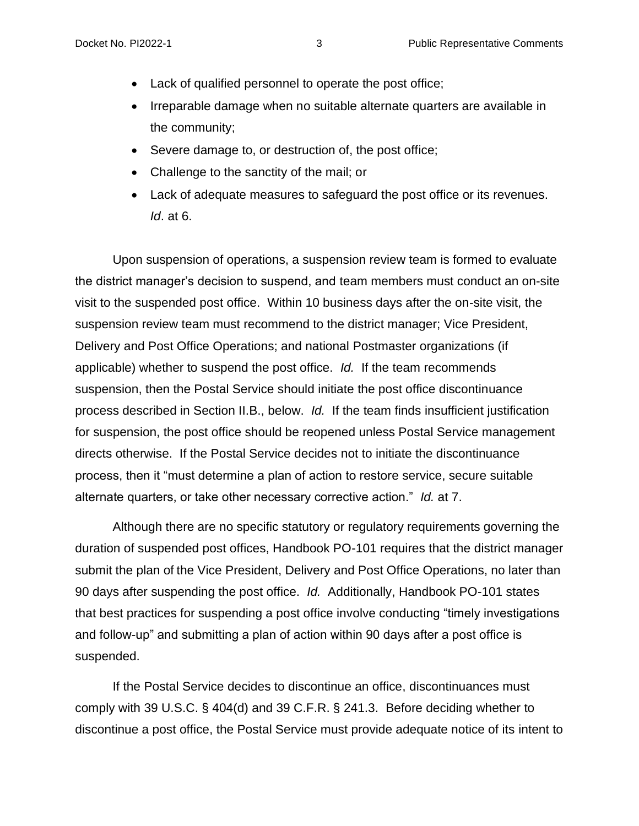- Lack of qualified personnel to operate the post office;
- Irreparable damage when no suitable alternate quarters are available in the community;
- Severe damage to, or destruction of, the post office;
- Challenge to the sanctity of the mail; or
- Lack of adequate measures to safeguard the post office or its revenues. *Id*. at 6.

Upon suspension of operations, a suspension review team is formed to evaluate the district manager's decision to suspend, and team members must conduct an on-site visit to the suspended post office. Within 10 business days after the on-site visit, the suspension review team must recommend to the district manager; Vice President, Delivery and Post Office Operations; and national Postmaster organizations (if applicable) whether to suspend the post office. *Id.* If the team recommends suspension, then the Postal Service should initiate the post office discontinuance process described in Section II.B., below. *Id.* If the team finds insufficient justification for suspension, the post office should be reopened unless Postal Service management directs otherwise. If the Postal Service decides not to initiate the discontinuance process, then it "must determine a plan of action to restore service, secure suitable alternate quarters, or take other necessary corrective action." *Id.* at 7.

Although there are no specific statutory or regulatory requirements governing the duration of suspended post offices, Handbook PO-101 requires that the district manager submit the plan of the Vice President, Delivery and Post Office Operations, no later than 90 days after suspending the post office. *Id.* Additionally, Handbook PO-101 states that best practices for suspending a post office involve conducting "timely investigations and follow-up" and submitting a plan of action within 90 days after a post office is suspended.

If the Postal Service decides to discontinue an office, discontinuances must comply with 39 U.S.C. § 404(d) and 39 C.F.R. § 241.3. Before deciding whether to discontinue a post office, the Postal Service must provide adequate notice of its intent to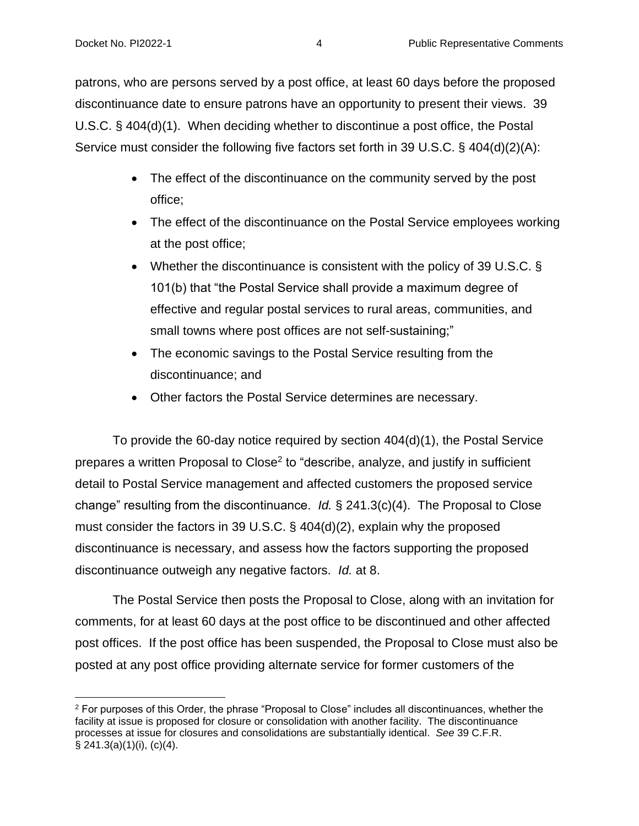patrons, who are persons served by a post office, at least 60 days before the proposed discontinuance date to ensure patrons have an opportunity to present their views. 39 U.S.C. § 404(d)(1). When deciding whether to discontinue a post office, the Postal Service must consider the following five factors set forth in 39 U.S.C. § 404(d)(2)(A):

- The effect of the discontinuance on the community served by the post office;
- The effect of the discontinuance on the Postal Service employees working at the post office;
- Whether the discontinuance is consistent with the policy of 39 U.S.C. § 101(b) that "the Postal Service shall provide a maximum degree of effective and regular postal services to rural areas, communities, and small towns where post offices are not self-sustaining;"
- The economic savings to the Postal Service resulting from the discontinuance; and
- Other factors the Postal Service determines are necessary.

To provide the 60-day notice required by section 404(d)(1), the Postal Service prepares a written Proposal to Close<sup>2</sup> to "describe, analyze, and justify in sufficient detail to Postal Service management and affected customers the proposed service change" resulting from the discontinuance. *Id.* § 241.3(c)(4). The Proposal to Close must consider the factors in 39 U.S.C. § 404(d)(2), explain why the proposed discontinuance is necessary, and assess how the factors supporting the proposed discontinuance outweigh any negative factors. *Id.* at 8.

The Postal Service then posts the Proposal to Close, along with an invitation for comments, for at least 60 days at the post office to be discontinued and other affected post offices. If the post office has been suspended, the Proposal to Close must also be posted at any post office providing alternate service for former customers of the

<sup>2</sup> For purposes of this Order, the phrase "Proposal to Close" includes all discontinuances, whether the facility at issue is proposed for closure or consolidation with another facility. The discontinuance processes at issue for closures and consolidations are substantially identical. *See* 39 C.F.R.  $\S$  241.3(a)(1)(i), (c)(4).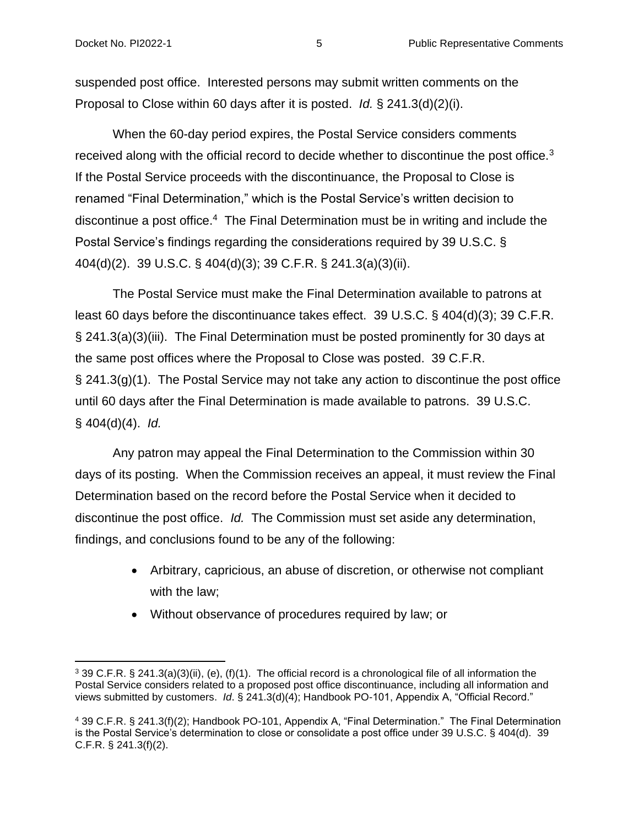suspended post office. Interested persons may submit written comments on the Proposal to Close within 60 days after it is posted. *Id.* § 241.3(d)(2)(i).

When the 60-day period expires, the Postal Service considers comments received along with the official record to decide whether to discontinue the post office.<sup>3</sup> If the Postal Service proceeds with the discontinuance, the Proposal to Close is renamed "Final Determination," which is the Postal Service's written decision to discontinue a post office.<sup>4</sup> The Final Determination must be in writing and include the Postal Service's findings regarding the considerations required by 39 U.S.C. § 404(d)(2). 39 U.S.C. § 404(d)(3); 39 C.F.R. § 241.3(a)(3)(ii).

The Postal Service must make the Final Determination available to patrons at least 60 days before the discontinuance takes effect. 39 U.S.C. § 404(d)(3); 39 C.F.R. § 241.3(a)(3)(iii). The Final Determination must be posted prominently for 30 days at the same post offices where the Proposal to Close was posted. 39 C.F.R. § 241.3(g)(1). The Postal Service may not take any action to discontinue the post office until 60 days after the Final Determination is made available to patrons. 39 U.S.C. § 404(d)(4). *Id.*

Any patron may appeal the Final Determination to the Commission within 30 days of its posting. When the Commission receives an appeal, it must review the Final Determination based on the record before the Postal Service when it decided to discontinue the post office. *Id.* The Commission must set aside any determination, findings, and conclusions found to be any of the following:

- Arbitrary, capricious, an abuse of discretion, or otherwise not compliant with the law;
- Without observance of procedures required by law; or

<sup>3</sup> 39 C.F.R. § 241.3(a)(3)(ii), (e), (f)(1). The official record is a chronological file of all information the Postal Service considers related to a proposed post office discontinuance, including all information and views submitted by customers. *Id*. § 241.3(d)(4); Handbook PO-101, Appendix A, "Official Record."

<sup>4</sup> 39 C.F.R. § 241.3(f)(2); Handbook PO-101, Appendix A, "Final Determination." The Final Determination is the Postal Service's determination to close or consolidate a post office under 39 U.S.C. § 404(d). 39 C.F.R. § 241.3(f)(2).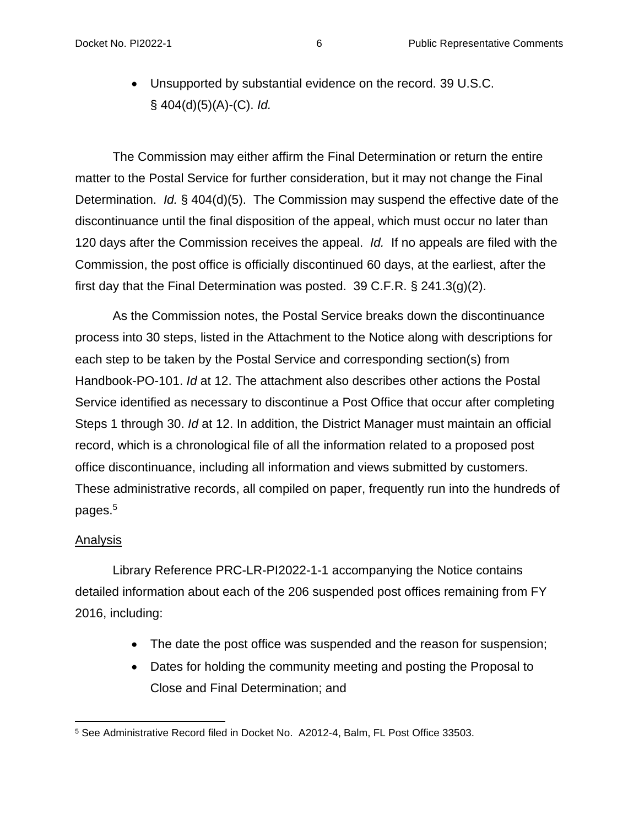• Unsupported by substantial evidence on the record. 39 U.S.C. § 404(d)(5)(A)-(C). *Id.*

The Commission may either affirm the Final Determination or return the entire matter to the Postal Service for further consideration, but it may not change the Final Determination. *Id.* § 404(d)(5). The Commission may suspend the effective date of the discontinuance until the final disposition of the appeal, which must occur no later than 120 days after the Commission receives the appeal. *Id.* If no appeals are filed with the Commission, the post office is officially discontinued 60 days, at the earliest, after the first day that the Final Determination was posted. 39 C.F.R.  $\S$  241.3(g)(2).

As the Commission notes, the Postal Service breaks down the discontinuance process into 30 steps, listed in the Attachment to the Notice along with descriptions for each step to be taken by the Postal Service and corresponding section(s) from Handbook-PO-101. *Id* at 12. The attachment also describes other actions the Postal Service identified as necessary to discontinue a Post Office that occur after completing Steps 1 through 30. *Id* at 12. In addition, the District Manager must maintain an official record, which is a chronological file of all the information related to a proposed post office discontinuance, including all information and views submitted by customers. These administrative records, all compiled on paper, frequently run into the hundreds of pages.<sup>5</sup>

### Analysis

Library Reference PRC-LR-PI2022-1-1 accompanying the Notice contains detailed information about each of the 206 suspended post offices remaining from FY 2016, including:

- The date the post office was suspended and the reason for suspension;
- Dates for holding the community meeting and posting the Proposal to Close and Final Determination; and

<sup>5</sup> See Administrative Record filed in Docket No. A2012-4, Balm, FL Post Office 33503.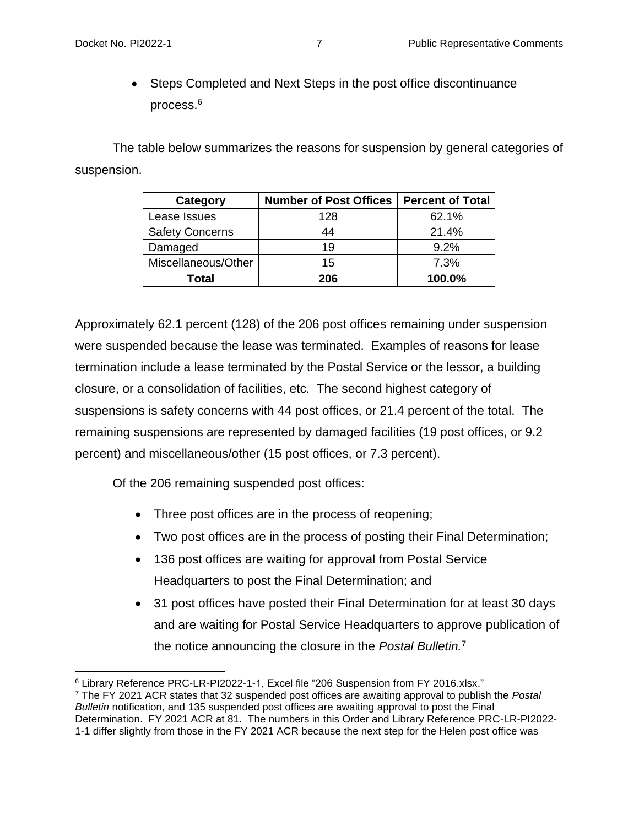• Steps Completed and Next Steps in the post office discontinuance process.<sup>6</sup>

The table below summarizes the reasons for suspension by general categories of suspension.

| Category               | <b>Number of Post Offices</b> | <b>Percent of Total</b> |
|------------------------|-------------------------------|-------------------------|
| Lease Issues           | 128                           | 62.1%                   |
| <b>Safety Concerns</b> | 44                            | 21.4%                   |
| Damaged                | 19                            | 9.2%                    |
| Miscellaneous/Other    | 15                            | 7.3%                    |
| Total                  | 206                           | 100.0%                  |

Approximately 62.1 percent (128) of the 206 post offices remaining under suspension were suspended because the lease was terminated. Examples of reasons for lease termination include a lease terminated by the Postal Service or the lessor, a building closure, or a consolidation of facilities, etc. The second highest category of suspensions is safety concerns with 44 post offices, or 21.4 percent of the total. The remaining suspensions are represented by damaged facilities (19 post offices, or 9.2 percent) and miscellaneous/other (15 post offices, or 7.3 percent).

Of the 206 remaining suspended post offices:

- Three post offices are in the process of reopening;
- Two post offices are in the process of posting their Final Determination;
- 136 post offices are waiting for approval from Postal Service Headquarters to post the Final Determination; and
- 31 post offices have posted their Final Determination for at least 30 days and are waiting for Postal Service Headquarters to approve publication of the notice announcing the closure in the *Postal Bulletin.*<sup>7</sup>

<sup>6</sup> Library Reference PRC-LR-PI2022-1-1, Excel file "206 Suspension from FY 2016.xlsx."

<sup>7</sup> The FY 2021 ACR states that 32 suspended post offices are awaiting approval to publish the *Postal Bulletin* notification, and 135 suspended post offices are awaiting approval to post the Final Determination. FY 2021 ACR at 81. The numbers in this Order and Library Reference PRC-LR-PI2022- 1-1 differ slightly from those in the FY 2021 ACR because the next step for the Helen post office was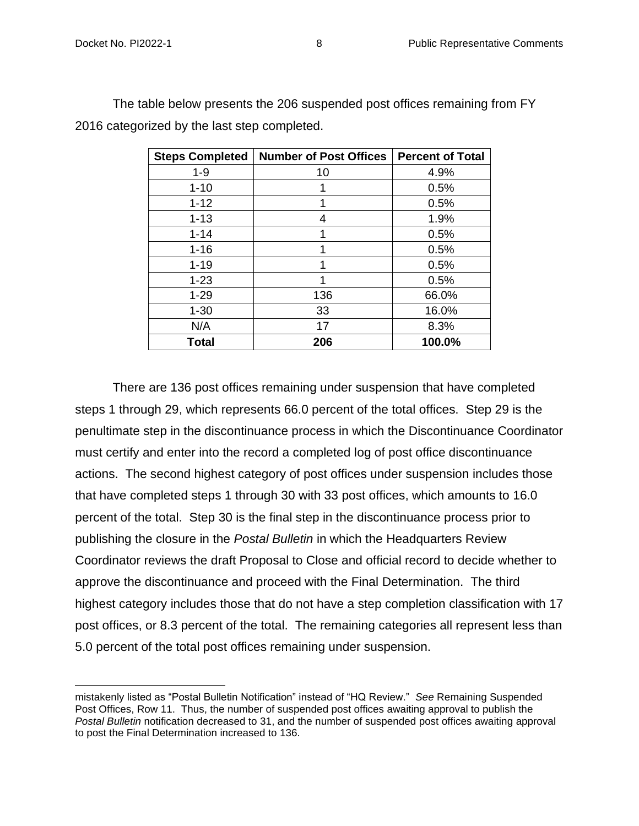| <b>Steps Completed</b> | <b>Number of Post Offices</b> | <b>Percent of Total</b> |
|------------------------|-------------------------------|-------------------------|
| $1 - 9$                | 10                            | 4.9%                    |
| $1 - 10$               | 1                             | 0.5%                    |
| $1 - 12$               | 1                             | 0.5%                    |
| $1 - 13$               | 4                             | 1.9%                    |
| $1 - 14$               | 1                             | 0.5%                    |
| $1 - 16$               | 1                             | 0.5%                    |
| $1 - 19$               | 1                             | 0.5%                    |
| $1 - 23$               | 1                             | 0.5%                    |
| $1 - 29$               | 136                           | 66.0%                   |
| $1 - 30$               | 33                            | 16.0%                   |
| N/A                    | 17                            | 8.3%                    |
| Total                  | 206                           | 100.0%                  |

The table below presents the 206 suspended post offices remaining from FY 2016 categorized by the last step completed.

There are 136 post offices remaining under suspension that have completed steps 1 through 29, which represents 66.0 percent of the total offices. Step 29 is the penultimate step in the discontinuance process in which the Discontinuance Coordinator must certify and enter into the record a completed log of post office discontinuance actions. The second highest category of post offices under suspension includes those that have completed steps 1 through 30 with 33 post offices, which amounts to 16.0 percent of the total. Step 30 is the final step in the discontinuance process prior to publishing the closure in the *Postal Bulletin* in which the Headquarters Review Coordinator reviews the draft Proposal to Close and official record to decide whether to approve the discontinuance and proceed with the Final Determination. The third highest category includes those that do not have a step completion classification with 17 post offices, or 8.3 percent of the total. The remaining categories all represent less than 5.0 percent of the total post offices remaining under suspension.

mistakenly listed as "Postal Bulletin Notification" instead of "HQ Review." *See* Remaining Suspended Post Offices, Row 11. Thus, the number of suspended post offices awaiting approval to publish the *Postal Bulletin* notification decreased to 31, and the number of suspended post offices awaiting approval to post the Final Determination increased to 136.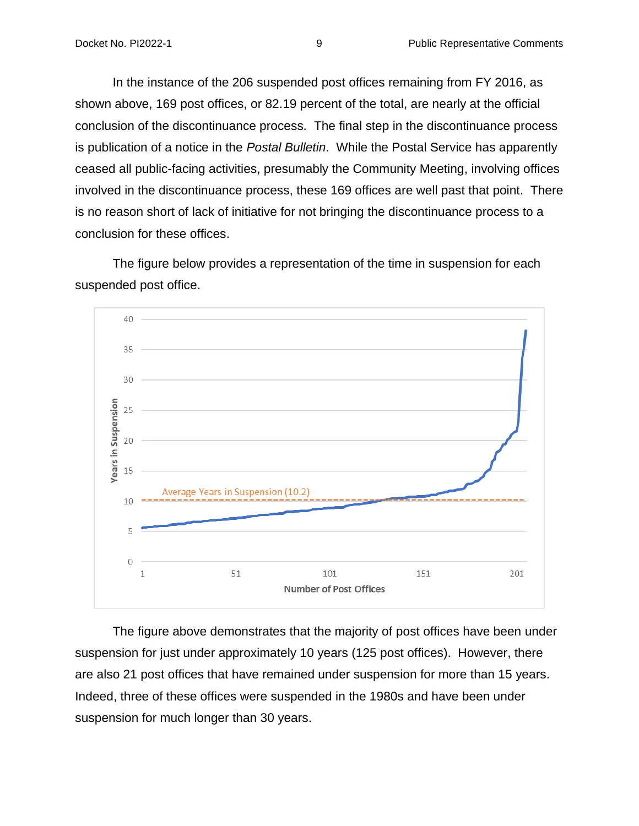In the instance of the 206 suspended post offices remaining from FY 2016, as shown above, 169 post offices, or 82.19 percent of the total, are nearly at the official conclusion of the discontinuance process. The final step in the discontinuance process is publication of a notice in the *Postal Bulletin*. While the Postal Service has apparently ceased all public-facing activities, presumably the Community Meeting, involving offices involved in the discontinuance process, these 169 offices are well past that point. There is no reason short of lack of initiative for not bringing the discontinuance process to a conclusion for these offices.

The figure below provides a representation of the time in suspension for each suspended post office.



The figure above demonstrates that the majority of post offices have been under suspension for just under approximately 10 years (125 post offices). However, there are also 21 post offices that have remained under suspension for more than 15 years. Indeed, three of these offices were suspended in the 1980s and have been under suspension for much longer than 30 years.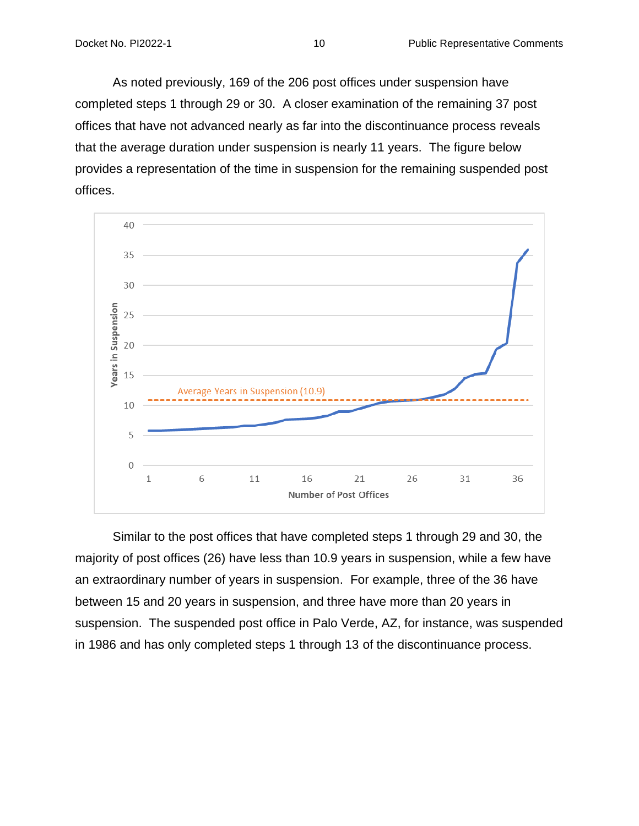As noted previously, 169 of the 206 post offices under suspension have completed steps 1 through 29 or 30. A closer examination of the remaining 37 post offices that have not advanced nearly as far into the discontinuance process reveals that the average duration under suspension is nearly 11 years. The figure below provides a representation of the time in suspension for the remaining suspended post offices.



Similar to the post offices that have completed steps 1 through 29 and 30, the majority of post offices (26) have less than 10.9 years in suspension, while a few have an extraordinary number of years in suspension. For example, three of the 36 have between 15 and 20 years in suspension, and three have more than 20 years in suspension. The suspended post office in Palo Verde, AZ, for instance, was suspended in 1986 and has only completed steps 1 through 13 of the discontinuance process.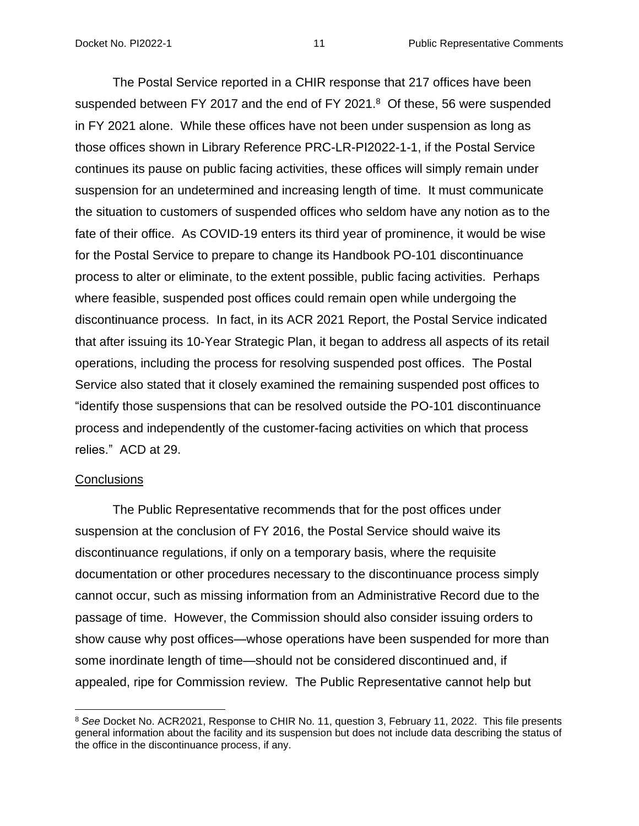The Postal Service reported in a CHIR response that 217 offices have been suspended between FY 2017 and the end of FY 2021. $8$  Of these, 56 were suspended in FY 2021 alone. While these offices have not been under suspension as long as those offices shown in Library Reference PRC-LR-PI2022-1-1, if the Postal Service continues its pause on public facing activities, these offices will simply remain under suspension for an undetermined and increasing length of time. It must communicate the situation to customers of suspended offices who seldom have any notion as to the fate of their office. As COVID-19 enters its third year of prominence, it would be wise for the Postal Service to prepare to change its Handbook PO-101 discontinuance process to alter or eliminate, to the extent possible, public facing activities. Perhaps where feasible, suspended post offices could remain open while undergoing the discontinuance process. In fact, in its ACR 2021 Report, the Postal Service indicated that after issuing its 10-Year Strategic Plan, it began to address all aspects of its retail operations, including the process for resolving suspended post offices. The Postal Service also stated that it closely examined the remaining suspended post offices to "identify those suspensions that can be resolved outside the PO-101 discontinuance process and independently of the customer-facing activities on which that process relies." ACD at 29.

#### **Conclusions**

The Public Representative recommends that for the post offices under suspension at the conclusion of FY 2016, the Postal Service should waive its discontinuance regulations, if only on a temporary basis, where the requisite documentation or other procedures necessary to the discontinuance process simply cannot occur, such as missing information from an Administrative Record due to the passage of time. However, the Commission should also consider issuing orders to show cause why post offices—whose operations have been suspended for more than some inordinate length of time—should not be considered discontinued and, if appealed, ripe for Commission review. The Public Representative cannot help but

<sup>8</sup> *See* Docket No. ACR2021, Response to CHIR No. 11, question 3, February 11, 2022. This file presents general information about the facility and its suspension but does not include data describing the status of the office in the discontinuance process, if any.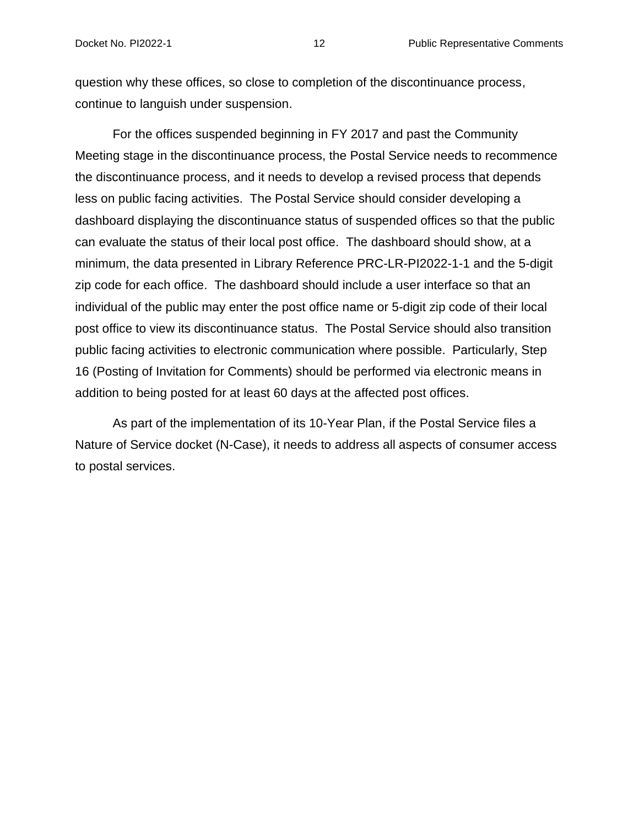#### Docket No. PI2022-1 12 12 Public Representative Comments

question why these offices, so close to completion of the discontinuance process, continue to languish under suspension.

For the offices suspended beginning in FY 2017 and past the Community Meeting stage in the discontinuance process, the Postal Service needs to recommence the discontinuance process, and it needs to develop a revised process that depends less on public facing activities. The Postal Service should consider developing a dashboard displaying the discontinuance status of suspended offices so that the public can evaluate the status of their local post office. The dashboard should show, at a minimum, the data presented in Library Reference PRC-LR-PI2022-1-1 and the 5-digit zip code for each office. The dashboard should include a user interface so that an individual of the public may enter the post office name or 5-digit zip code of their local post office to view its discontinuance status. The Postal Service should also transition public facing activities to electronic communication where possible. Particularly, Step 16 (Posting of Invitation for Comments) should be performed via electronic means in addition to being posted for at least 60 days at the affected post offices.

As part of the implementation of its 10-Year Plan, if the Postal Service files a Nature of Service docket (N-Case), it needs to address all aspects of consumer access to postal services.